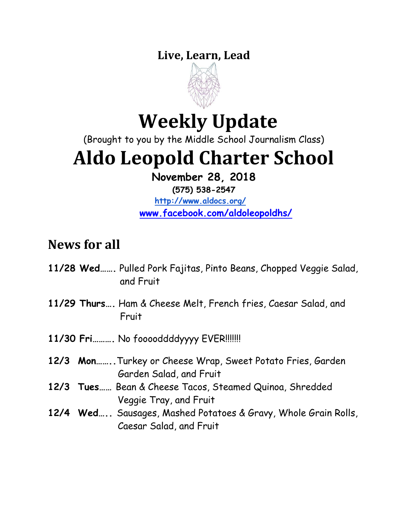### **Live, Learn, Lead**



# **Weekly Update**

(Brought to you by the Middle School Journalism Class)

# **Aldo Leopold Charter School**

**November 28, 2018**

**(575) 538-2547**

**<http://www.aldocs.org/> [www.facebook.com/aldoleopoldhs/](http://www.facebook.com/aldoleopoldhs/)**

## **News for all**

- **11/28 Wed…….** Pulled Pork Fajitas, Pinto Beans, Chopped Veggie Salad, and Fruit
- **11/29 Thurs….** Ham & Cheese Melt, French fries, Caesar Salad, and Fruit
- **11/30 Fri……….** No fooooddddyyyy EVER!!!!!!!
- **12/3 Mon……..**Turkey or Cheese Wrap, Sweet Potato Fries, Garden Garden Salad, and Fruit
- **12/3 Tues……** Bean & Cheese Tacos, Steamed Quinoa, Shredded Veggie Tray, and Fruit
- **12/4 Wed…..** Sausages, Mashed Potatoes & Gravy, Whole Grain Rolls, Caesar Salad, and Fruit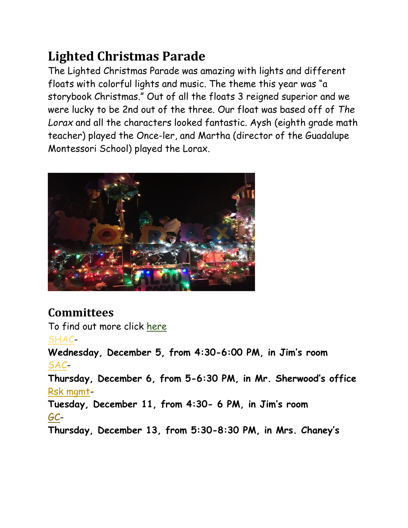## **Lighted Christmas Parade**

The Lighted Christmas Parade was amazing with lights and different floats with colorful lights and music. The theme this year was "a storybook Christmas." Out of all the floats 3 reigned superior and we were lucky to be 2nd out of the three. Our float was based off of *The Lorax* and all the characters looked fantastic. Aysh (eighth grade math teacher) played the Once-ler, and Martha (director of the Guadalupe Montessori School) played the Lorax.



#### **Committees**

To find out more click [here](https://www.aldocs.org/committee-overview.html) [SHAC-](https://www.aldocs.org/school-health-advisory-council.html)

**Wednesday, December 5, from 4:30-6:00 PM, in Jim's room** [SAC-](http://www.aldocs.org/school-advisory-council.html)**Thursday, December 6, from 5-6:30 PM, in Mr. Sherwood's office** [Rsk mgmt-](https://www.aldocs.org/risk-management.html)**Tuesday, December 11, from 4:30- 6 PM, in Jim's room** [GC-](https://www.aldocs.org/about-the-alcs-governing-council.html)**Thursday, December 13, from 5:30-8:30 PM, in Mrs. Chaney's**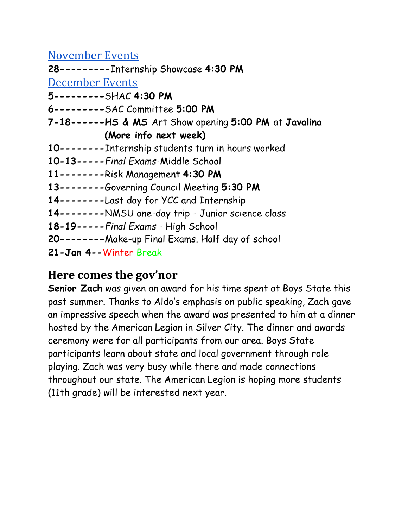[November Events](https://www.aldocs.org/calendar.html)

**28---------**Internship Showcase **4:30 PM**

[December Events](https://www.aldocs.org/calendar.html)

**5---------**SHAC **4:30 PM**

**6---------**SAC Committee **5:00 PM**

**7-18------HS & MS** Art Show opening **5:00 PM** at **Javalina (More info next week)**

- **10--------**Internship students turn in hours worked
- **10-13-----***Final Exams*-Middle School
- **11--------**Risk Management **4:30 PM**
- **13--------**Governing Council Meeting **5:30 PM**
- **14--------**Last day for YCC and Internship
- **14--------**NMSU one-day trip Junior science class
- **18-19-----***Final Exams* High School
- **20--------**Make-up Final Exams. Half day of school
- **21-Jan 4--**Winter Break

#### **Here comes the gov'nor**

**Senior Zach** was given an award for his time spent at Boys State this past summer. Thanks to Aldo's emphasis on public speaking, Zach gave an impressive speech when the award was presented to him at a dinner hosted by the American Legion in Silver City. The dinner and awards ceremony were for all participants from our area. Boys State participants learn about state and local government through role playing. Zach was very busy while there and made connections throughout our state. The American Legion is hoping more students (11th grade) will be interested next year.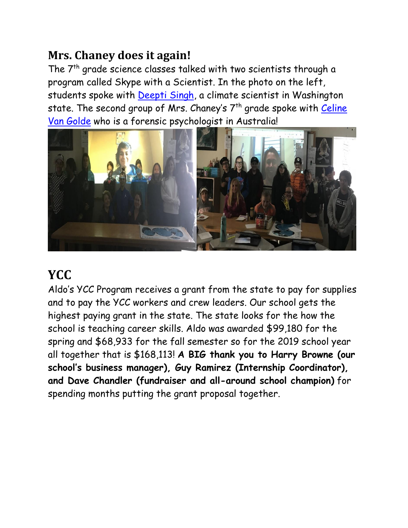### **Mrs. Chaney does it again!**

The 7<sup>th</sup> grade science classes talked with two scientists through a program called Skype with a Scientist. In the photo on the left, students spoke with [Deepti Singh,](https://deeptis47.github.io/) a climate scientist in Washington state. The second group of Mrs. Chaney's 7<sup>th</sup> grade spoke with Celine [Van Golde](https://sydney.edu.au/science/people/celine.vangolde.php) who is a forensic psychologist in Australia!



## **YCC**

Aldo's YCC Program receives a grant from the state to pay for supplies and to pay the YCC workers and crew leaders. Our school gets the highest paying grant in the state. The state looks for the how the school is teaching career skills. Aldo was awarded \$99,180 for the spring and \$68,933 for the fall semester so for the 2019 school year all together that is \$168,113! **A BIG thank you to Harry Browne (our school's business manager), Guy Ramirez (Internship Coordinator), and Dave Chandler (fundraiser and all-around school champion)** for spending months putting the grant proposal together.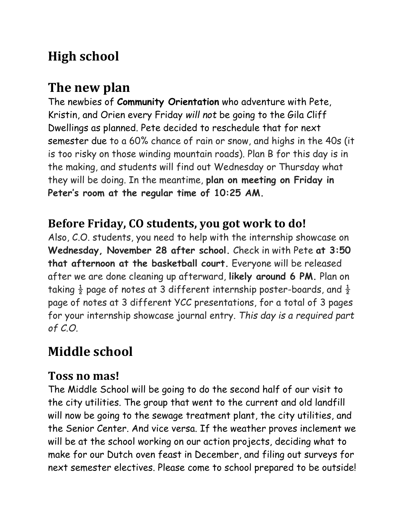## **High school**

## **The new plan**

The newbies of **Community Orientation** who adventure with Pete, Kristin, and Orien every Friday *will not* be going to the Gila Cliff Dwellings as planned. Pete decided to reschedule that for next semester due to a 60% chance of rain or snow, and highs in the 40s (it is too risky on those winding mountain roads). Plan B for this day is in the making, and students will find out Wednesday or Thursday what they will be doing. In the meantime, **plan on meeting on Friday in Peter's room at the regular time of 10:25 AM.** 

#### **Before Friday, CO students, you got work to do!**

Also, C.O. students, you need to help with the internship showcase on **Wednesday, November 28 after school.** Check in with Pete **at 3:50 that afternoon at the basketball court.** Everyone will be released after we are done cleaning up afterward, **likely around 6 PM.** Plan on taking  $\frac{1}{2}$  page of notes at 3 different internship poster-boards, and  $\frac{1}{2}$ page of notes at 3 different YCC presentations, for a total of 3 pages for your internship showcase journal entry. *This day is a required part of C.O.*

## **Middle school**

#### **Toss no mas!**

The Middle School will be going to do the second half of our visit to the city utilities. The group that went to the current and old landfill will now be going to the sewage treatment plant, the city utilities, and the Senior Center. And vice versa. If the weather proves inclement we will be at the school working on our action projects, deciding what to make for our Dutch oven feast in December, and filing out surveys for next semester electives. Please come to school prepared to be outside!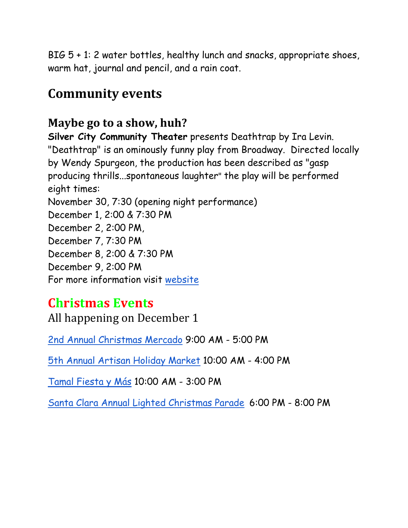BIG 5 + 1: 2 water bottles, healthy lunch and snacks, appropriate shoes, warm hat, journal and pencil, and a rain coat.

## **Community events**

#### **Maybe go to a show, huh?**

**Silver City Community Theater** presents Deathtrap by Ira Levin. "Deathtrap" is an ominously funny play from Broadway. Directed locally by Wendy Spurgeon, the production has been described as "gasp producing thrills...spontaneous laughter" the play will be performed eight times:

November 30, 7:30 (opening night performance)

December 1, 2:00 & 7:30 PM

December 2, 2:00 PM,

December 7, 7:30 PM

December 8, 2:00 & 7:30 PM

December 9, 2:00 PM

For more information visit [website](https://silvercitycommunitytheater.com/upcoming-productions/)

### **Christmas Events**

All happening on December 1

[2nd Annual Christmas Mercado](https://www.facebook.com/historicalhanoveroutpost/) 9:00 AM - 5:00 PM

[5th Annual Artisan Holiday Market](http://facebook.com/SilverCityHolidayMarket) 10:00 AM - 4:00 PM

[Tamal Fiesta y](http://www.silvercity.org/events/details/tamal-fiesta-y-mas-4755) Más 10:00 AM - 3:00 PM

[Santa Clara Annual Lighted Christmas Parade](http://www.silvercity.org/events/details/santa-clara-annual-lighted-christmas-parade-4756) 6:00 PM - 8:00 PM